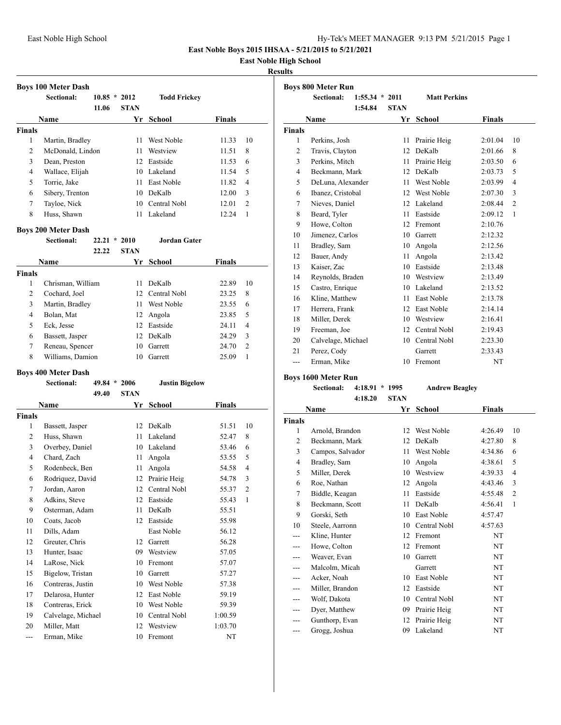## **East Noble High School**

## **Results**

|               | <b>Boys 100 Meter Dash</b> |           |             |                     |               |    |
|---------------|----------------------------|-----------|-------------|---------------------|---------------|----|
|               | Sectional:                 | $10.85$ * | 2012        | <b>Todd Frickey</b> |               |    |
|               |                            | 11.06     | <b>STAN</b> |                     |               |    |
|               | <b>Name</b>                |           | Yr          | School              | <b>Finals</b> |    |
| <b>Finals</b> |                            |           |             |                     |               |    |
| 1             | Martin, Bradley            |           | 11          | West Noble          | 11.33         | 10 |
| 2             | McDonald, Lindon           |           | 11          | Westview            | 11.51         | 8  |
| 3             | Dean, Preston              |           | 12.         | Eastside            | 11.53         | 6  |
| 4             | Wallace, Elijah            |           | 10          | Lakeland            | 11.54         | 5  |
| 5             | Torrie, Jake               |           | 11          | East Noble          | 11.82         | 4  |
| 6             | Sibery, Trenton            |           | 10          | DeKalb              | 12.00         | 3  |
| 7             | Tayloe, Nick               |           | 10          | Central Nobl        | 12.01         | 2  |
| 8             | Huss, Shawn                |           | 11          | Lakeland            | 12.24         |    |

## **Boys 200 Meter Dash**

|               | DOVS FOO INICIOI D'ASH |       |                 |               |               |                |
|---------------|------------------------|-------|-----------------|---------------|---------------|----------------|
|               | Sectional:             | 22.21 | $\star$<br>2010 | Jordan Gater  |               |                |
|               |                        | 22.22 | <b>STAN</b>     |               |               |                |
|               | <b>Name</b>            |       | Yr              | <b>School</b> | <b>Finals</b> |                |
| <b>Finals</b> |                        |       |                 |               |               |                |
| 1             | Chrisman, William      |       | 11              | DeKalb        | 22.89         | 10             |
| 2             | Cochard, Joel          |       | 12.             | Central Nobl  | 23.25         | 8              |
| 3             | Martin, Bradley        |       | 11              | West Noble    | 23.55         | 6              |
| 4             | Bolan, Mat             |       | 12              | Angola        | 23.85         | 5              |
| 5             | Eck, Jesse             |       | 12              | Eastside      | 24.11         | 4              |
| 6             | Bassett, Jasper        |       | 12              | DeKalb        | 24.29         | 3              |
| 7             | Reneau, Spencer        |       | 10              | Garrett       | 24.70         | $\overline{c}$ |
| 8             | Williams, Damion       |       | 10              | Garrett       | 25.09         |                |

## **Boys 400 Meter Dash**

|                | DOJJ TOO BICKE D'AJII<br><b>Sectional:</b> | 49.84 | 2006<br>$\star$ | <b>Justin Bigelow</b> |               |                |
|----------------|--------------------------------------------|-------|-----------------|-----------------------|---------------|----------------|
|                |                                            | 49.40 | <b>STAN</b>     |                       |               |                |
|                | Name                                       |       | Yr              | <b>School</b>         | <b>Finals</b> |                |
| <b>Finals</b>  |                                            |       |                 |                       |               |                |
| 1              | Bassett, Jasper                            |       | 12              | DeKalb                | 51.51         | 10             |
| 2              | Huss, Shawn                                |       | 11              | Lakeland              | 52.47         | 8              |
| 3              | Overbey, Daniel                            |       | 10              | Lakeland              | 53.46         | 6              |
| $\overline{4}$ | Chard, Zach                                |       | 11              | Angola                | 53.55         | 5              |
| 5              | Rodenbeck, Ben                             |       | 11              | Angola                | 54.58         | $\overline{4}$ |
| 6              | Rodriguez, David                           |       | 12              | Prairie Heig          | 54.78         | 3              |
| 7              | Jordan, Aaron                              |       | 12              | Central Nobl          | 55.37         | $\overline{c}$ |
| 8              | Adkins, Steve                              |       | 12              | Eastside              | 55.43         | $\mathbf{1}$   |
| 9              | Osterman, Adam                             |       | 11              | DeKalb                | 55.51         |                |
| 10             | Coats, Jacob                               |       | 12              | Eastside              | 55.98         |                |
| 11             | Dills, Adam                                |       |                 | East Noble            | 56.12         |                |
| 12             | Greuter, Chris                             |       | 12              | Garrett               | 56.28         |                |
| 13             | Hunter, Isaac                              |       | 09              | Westview              | 57.05         |                |
| 14             | LaRose, Nick                               |       | 10              | Fremont               | 57.07         |                |
| 15             | Bigelow, Tristan                           |       | 10              | Garrett               | 57.27         |                |
| 16             | Contreras, Justin                          |       | 10              | West Noble            | 57.38         |                |
| 17             | Delarosa, Hunter                           |       | 12              | East Noble            | 59.19         |                |
| 18             | Contreras, Erick                           |       | 10              | West Noble            | 59.39         |                |
| 19             | Calvelage, Michael                         |       | 10              | Central Nobl          | 1:00.59       |                |
| 20             | Miller, Matt                               |       | 12              | Westview              | 1:03.70       |                |
| ---            | Erman, Mike                                |       | 10              | Fremont               | NT            |                |

|                | <b>Boys 800 Meter Run</b> |                  |              |                     |               |                |
|----------------|---------------------------|------------------|--------------|---------------------|---------------|----------------|
|                | <b>Sectional:</b>         | $1:55.34 * 2011$ |              | <b>Matt Perkins</b> |               |                |
|                |                           | 1:54.84          | <b>STAN</b>  |                     |               |                |
|                | Name                      |                  | Yr           | <b>School</b>       | <b>Finals</b> |                |
| <b>Finals</b>  |                           |                  |              |                     |               |                |
| $\mathbf{1}$   | Perkins, Josh             |                  | 11           | Prairie Heig        | 2:01.04       | 10             |
| $\overline{c}$ | Travis, Clayton           |                  | 12           | DeKalb              | 2:01.66       | 8              |
| 3              | Perkins, Mitch            |                  | 11           | Prairie Heig        | 2:03.50       | 6              |
| $\overline{4}$ | Beckmann, Mark            |                  | 12           | DeKalb              | 2:03.73       | 5              |
| 5              | DeLuna, Alexander         |                  | 11           | West Noble          | 2:03.99       | $\overline{4}$ |
| 6              | Ibanez, Cristobal         |                  | 12           | West Noble          | 2:07.30       | 3              |
| 7              | Nieves, Daniel            |                  | $12^{\circ}$ | Lakeland            | 2:08.44       | $\overline{2}$ |
| 8              | Beard, Tyler              |                  | 11           | Eastside            | 2:09.12       | 1              |
| 9              | Howe, Colton              |                  | 12           | Fremont             | 2:10.76       |                |
| 10             | Jimenez, Carlos           |                  | 10           | Garrett             | 2:12.32       |                |
| 11             | Bradley, Sam              |                  | 10           | Angola              | 2:12.56       |                |
| 12             | Bauer, Andy               |                  | 11           | Angola              | 2:13.42       |                |
| 13             | Kaiser, Zac               |                  | 10           | Eastside            | 2:13.48       |                |
| 14             | Reynolds, Braden          |                  | 10           | Westview            | 2:13.49       |                |
| 15             | Castro, Enrique           |                  | 10           | Lakeland            | 2:13.52       |                |
| 16             | Kline, Matthew            |                  | 11           | East Noble          | 2:13.78       |                |
| 17             | Herrera, Frank            |                  | 12           | East Noble          | 2:14.14       |                |
| 18             | Miller, Derek             |                  | 10           | Westview            | 2:16.41       |                |
| 19             | Freeman, Joe              |                  | 12           | Central Nobl        | 2:19.43       |                |
| 20             | Calvelage, Michael        |                  | 10           | Central Nobl        | 2:23.30       |                |
| 21             | Perez, Cody               |                  |              | Garrett             | 2:33.43       |                |
| ---            | Erman, Mike               |                  | 10           | Fremont             | NT            |                |

## **Boys 1600 Meter Run**

## **Sectional: 4:18.91 \* 1995 Andrew Beagley 4:18.20 STAN**

|                | Name             | Yr | School       | <b>Finals</b> |                |
|----------------|------------------|----|--------------|---------------|----------------|
| Finals         |                  |    |              |               |                |
| 1              | Arnold, Brandon  | 12 | West Noble   | 4:26.49       | 10             |
| $\overline{2}$ | Beckmann, Mark   | 12 | DeKalb       | 4:27.80       | 8              |
| 3              | Campos, Salvador | 11 | West Noble   | 4:34.86       | 6              |
| $\overline{4}$ | Bradley, Sam     | 10 | Angola       | 4:38.61       | 5              |
| 5              | Miller, Derek    | 10 | Westview     | 4:39.33       | 4              |
| 6              | Roe, Nathan      | 12 | Angola       | 4:43.46       | 3              |
| 7              | Biddle, Keagan   | 11 | Eastside     | 4:55.48       | $\overline{2}$ |
| 8              | Beckmann, Scott  | 11 | DeKalb       | 4:56.41       | 1              |
| 9              | Gorski, Seth     | 10 | East Noble   | 4:57.47       |                |
| 10             | Steele, Aarronn  | 10 | Central Nobl | 4:57.63       |                |
|                | Kline, Hunter    | 12 | Fremont      | NT            |                |
| ---            | Howe, Colton     | 12 | Fremont      | NT            |                |
| ---            | Weaver, Evan     | 10 | Garrett      | NT            |                |
|                | Malcolm, Micah   |    | Garrett      | NT            |                |
| ---            | Acker, Noah      | 10 | East Noble   | NT            |                |
| ---            | Miller, Brandon  | 12 | Eastside     | NT            |                |
|                | Wolf, Dakota     | 10 | Central Nobl | NT            |                |
| ---            | Dyer, Matthew    | 09 | Prairie Heig | NT            |                |
|                | Gunthorp, Evan   | 12 | Prairie Heig | NT            |                |
| ---            | Grogg, Joshua    | 09 | Lakeland     | NT            |                |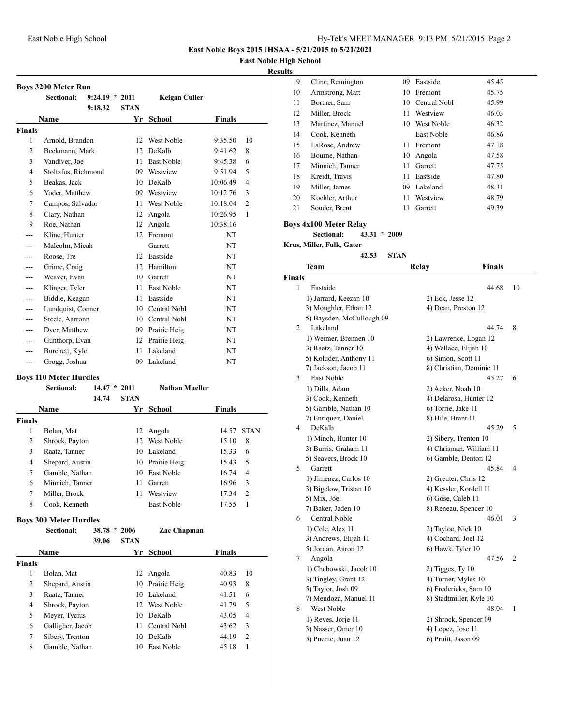## **East Noble High School**

## **Results**

|                | Boys 3200 Meter Run                         |                  |                |                       |               |                |
|----------------|---------------------------------------------|------------------|----------------|-----------------------|---------------|----------------|
|                | <b>Sectional:</b>                           | $9:24.19 * 2011$ |                | Keigan Culler         |               |                |
|                |                                             | 9:18.32          | <b>STAN</b>    |                       |               |                |
|                | Name                                        |                  | Yr             | School                | Finals        |                |
| Finals         |                                             |                  |                |                       |               |                |
| 1              | Arnold, Brandon                             |                  | 12             | West Noble            | 9:35.50       | 10             |
| 2              | Beckmann, Mark                              |                  | 12             | DeKalb                | 9:41.62       | 8              |
| 3              | Vandiver, Joe                               |                  | 11             | East Noble            | 9:45.38       | 6              |
| 4              | Stoltzfus, Richmond                         |                  | 09             | Westview              | 9:51.94       | 5              |
| 5              | Beakas, Jack                                |                  | 10             | DeKalb                | 10:06.49      | $\overline{4}$ |
| 6              | Yoder, Matthew                              |                  | 09.            | Westview              | 10:12.76      | 3              |
| 7              | Campos, Salvador                            |                  | 11             | West Noble            | 10:18.04      | $\overline{c}$ |
| 8              | Clary, Nathan                               |                  | 12             | Angola                | 10:26.95      | 1              |
| 9              | Roe, Nathan                                 |                  | 12             | Angola                | 10:38.16      |                |
| ---            | Kline, Hunter                               |                  | 12             | Fremont               | NT            |                |
| ---            | Malcolm, Micah                              |                  |                | Garrett               | NT            |                |
|                | Roose, Tre                                  |                  | 12             | Eastside              | NT            |                |
| ---            | Grime, Craig                                |                  | 12             | Hamilton              | NT            |                |
| ---            | Weaver, Evan                                |                  | 10             | Garrett               | NT            |                |
| ---            | Klinger, Tyler                              |                  | 11             | East Noble            | NT            |                |
| ---            | Biddle, Keagan                              |                  | 11             | Eastside              | NT            |                |
| ---            | Lundquist, Conner                           |                  |                | 10 Central Nobl       | NΤ            |                |
| ---            | Steele, Aarronn                             |                  |                | 10 Central Nobl       | NT            |                |
| ---            | Dyer, Matthew                               |                  |                | 09 Prairie Heig       | NT            |                |
| ---            | Gunthorp, Evan                              |                  |                | 12 Prairie Heig       | NT            |                |
| ---            | Burchett, Kyle                              |                  | 11             | Lakeland              | NT            |                |
| ---            | Grogg, Joshua                               |                  | 09             | Lakeland              | NT            |                |
|                | <b>Boys 110 Meter Hurdles</b>               |                  |                |                       |               |                |
|                | <b>Sectional:</b>                           |                  | $14.47 * 2011$ | <b>Nathan Mueller</b> |               |                |
|                |                                             | 14.74            | <b>STAN</b>    |                       |               |                |
|                | Name                                        |                  |                | Yr School             | Finals        |                |
| Finals         |                                             |                  |                |                       |               |                |
| 1              | Bolan, Mat                                  |                  | 12             | Angola                | 14.57         | <b>STAN</b>    |
| 2              | Shrock, Payton                              |                  | 12             | West Noble            | 15.10         | 8              |
| 3              | Raatz, Tanner                               |                  | 10             | Lakeland              | 15.33         | 6              |
| 4              | Shepard, Austin                             |                  | 10             | Prairie Heig          | 15.43         | 5              |
| 5              | Gamble, Nathan                              |                  | 10             | East Noble            | 16.74         | 4              |
| 6              | Minnich, Tanner                             |                  | 11             | Garrett               | 16.96         | 3              |
| 7              | Miller, Brock                               |                  | 11             | Westview              | 17.34         | 2              |
| 8              | Cook, Kenneth                               |                  |                | East Noble            | 17.55         | 1              |
|                |                                             |                  |                |                       |               |                |
|                | <b>Boys 300 Meter Hurdles</b><br>Sectional: |                  | 38.78 * 2006   | Zac Chapman           |               |                |
|                |                                             | 39.06            | <b>STAN</b>    |                       |               |                |
|                |                                             |                  |                | Yr School             |               |                |
|                | Name                                        |                  |                |                       | <b>Finals</b> |                |
| Finals<br>1    | Bolan, Mat                                  |                  | 12             | Angola                | 40.83         | 10             |
| $\overline{c}$ | Shepard, Austin                             |                  | 10             | Prairie Heig          | 40.93         | 8              |
| 3              | Raatz, Tanner                               |                  | 10             | Lakeland              | 41.51         | 6              |
| $\overline{4}$ | Shrock, Payton                              |                  | 12             | West Noble            | 41.79         | 5              |
| 5              | Meyer, Tycius                               |                  | 10             | DeKalb                |               | $\overline{4}$ |
| 6              |                                             |                  | 11             | Central Nobl          | 43.05         | 3              |
|                | Galligher, Jacob                            |                  |                |                       | 43.62         |                |
| 7<br>8         | Sibery, Trenton                             |                  | 10             | DeKalb                | 44.19         | 2              |
|                | Gamble, Nathan                              |                  | 10             | East Noble            | 45.18         | 1              |
|                |                                             |                  |                |                       |               |                |

| սււծ          |                                       |      |                                                |    |
|---------------|---------------------------------------|------|------------------------------------------------|----|
| 9             | Cline, Remington                      |      | 09 Eastside<br>45.45                           |    |
| 10            | Armstrong, Matt                       |      | 10 Fremont<br>45.75                            |    |
| 11            | Bortner, Sam                          |      | 10 Central Nobl<br>45.99                       |    |
| 12            | Miller, Brock                         | 11 - | Westview<br>46.03                              |    |
| 13            | Martinez, Manuel                      |      | 10 West Noble<br>46.32                         |    |
| 14            | Cook, Kenneth                         |      | East Noble<br>46.86                            |    |
| 15            | LaRose, Andrew                        | 11 - | Fremont<br>47.18                               |    |
| 16            | Bourne, Nathan                        |      | 10 Angola<br>47.58                             |    |
| 17            | Minnich, Tanner                       |      | 11 Garrett<br>47.75                            |    |
| 18            | Kreidt, Travis                        | 11   | Eastside                                       |    |
|               | Miller, James                         |      | 47.80                                          |    |
| 19            |                                       |      | 09 Lakeland<br>48.31                           |    |
| 20            | Koehler, Arthur                       |      | 11 Westview<br>48.79                           |    |
| 21            | Souder, Brent                         | 11   | Garrett<br>49.39                               |    |
|               | <b>Boys 4x100 Meter Relay</b>         |      |                                                |    |
|               | Sectional:<br>$43.31 * 2009$          |      |                                                |    |
|               | Krus, Miller, Fulk, Gater             |      |                                                |    |
|               | 42.53                                 | STAN |                                                |    |
|               | Team                                  |      | <b>Finals</b><br>Relay                         |    |
| <b>Finals</b> |                                       |      |                                                |    |
| 1             | Eastside                              |      | 44.68                                          | 10 |
|               | 1) Jarrard, Keezan 10                 |      |                                                |    |
|               |                                       |      | 2) Eck, Jesse 12                               |    |
|               | 3) Moughler, Ethan 12                 |      | 4) Dean, Preston 12                            |    |
| 2             | 5) Baysden, McCullough 09<br>Lakeland |      | 44.74                                          | 8  |
|               | 1) Weimer, Brennen 10                 |      |                                                |    |
|               | 3) Raatz, Tanner 10                   |      | 2) Lawrence, Logan 12<br>4) Wallace, Elijah 10 |    |
|               | 5) Koluder, Anthony 11                |      | 6) Simon, Scott 11                             |    |
|               | 7) Jackson, Jacob 11                  |      | 8) Christian, Dominic 11                       |    |
| 3             | East Noble                            |      | 45.27                                          | 6  |
|               | 1) Dills, Adam                        |      | 2) Acker, Noah 10                              |    |
|               | 3) Cook, Kenneth                      |      | 4) Delarosa, Hunter 12                         |    |
|               | 5) Gamble, Nathan 10                  |      | 6) Torrie, Jake 11                             |    |
|               | 7) Enriquez, Daniel                   |      | 8) Hile, Brant 11                              |    |
| 4             | DeKalb                                |      | 45.29                                          | 5  |
|               | 1) Minch, Hunter 10                   |      | 2) Sibery, Trenton 10                          |    |
|               | 3) Burris, Graham 11                  |      | 4) Chrisman, William 11                        |    |
|               | 5) Seavers, Brock 10                  |      | 6) Gamble, Denton 12                           |    |
| 5             | Garrett                               |      | 45.84                                          | 4  |
|               | 1) Jimenez, Carlos 10                 |      | 2) Greuter, Chris 12                           |    |
|               | 3) Bigelow, Tristan 10                |      | 4) Kessler, Kordell 11                         |    |
|               | 5) Mix, Joel                          |      | 6) Gose, Caleb 11                              |    |
|               | 7) Baker, Jaden 10                    |      | 8) Reneau, Spencer 10                          |    |
| 6             | Central Noble                         |      | 46.01                                          | 3  |
|               | 1) Cole, Alex 11                      |      | 2) Tayloe, Nick 10                             |    |
|               | 3) Andrews, Elijah 11                 |      | 4) Cochard, Joel 12                            |    |
|               | 5) Jordan, Aaron 12                   |      | 6) Hawk, Tyler 10                              |    |
| 7             | Angola                                |      | 47.56                                          | 2  |
|               | 1) Chebowski, Jacob 10                |      | $2)$ Tigges, Ty 10                             |    |
|               | 3) Tingley, Grant 12                  |      | 4) Turner, Myles 10                            |    |
|               | 5) Taylor, Josh 09                    |      | 6) Fredericks, Sam 10                          |    |
|               | 7) Mendoza, Manuel 11                 |      | 8) Stadtmiller, Kyle 10                        |    |
| 8             | West Noble                            |      | 48.04                                          | 1  |
|               | 1) Reyes, Jorje 11                    |      | 2) Shrock, Spencer 09                          |    |
|               | 3) Nasser, Omer 10                    |      | 4) Lopez, Jose 11                              |    |
|               | 5) Puente, Juan 12                    |      | 6) Pruitt, Jason 09                            |    |
|               |                                       |      |                                                |    |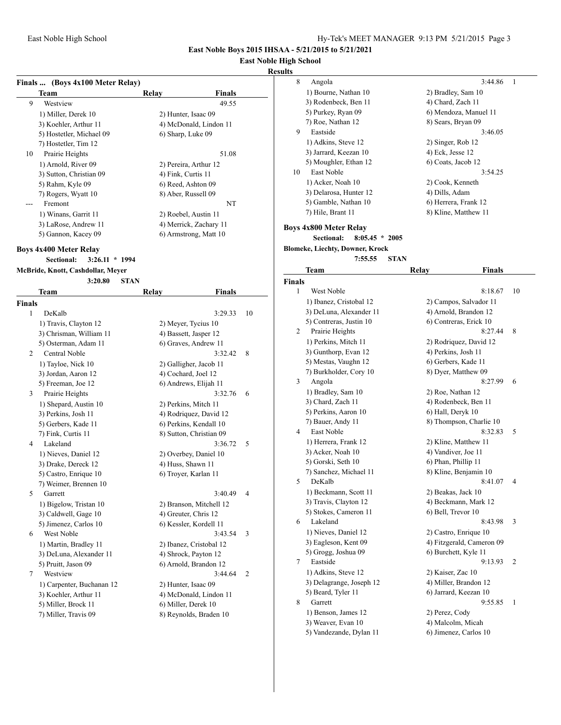## **East Noble High School**

#### **Results**

| Finals  (Boys 4x100 Meter Relay) |                      |                        |
|----------------------------------|----------------------|------------------------|
| Team                             | Relay                | <b>Finals</b>          |
| 9<br>Westview                    |                      | 49.55                  |
| 1) Miller, Derek 10              | 2) Hunter, Isaac 09  |                        |
| 3) Koehler, Arthur 11            |                      | 4) McDonald, Lindon 11 |
| 5) Hostetler, Michael 09         | 6) Sharp, Luke 09    |                        |
| 7) Hostetler, Tim 12             |                      |                        |
| 10<br>Prairie Heights            |                      | 51.08                  |
| 1) Arnold, River 09              |                      | 2) Pereira, Arthur 12  |
| 3) Sutton, Christian 09          | 4) Fink, Curtis 11   |                        |
| 5) Rahm, Kyle 09                 | 6) Reed, Ashton 09   |                        |
| 7) Rogers, Wyatt 10              | 8) Aber, Russell 09  |                        |
| Fremont                          |                      | NT                     |
| 1) Winans, Garrit 11             | 2) Roebel, Austin 11 |                        |
| 3) LaRose, Andrew 11             |                      | 4) Merrick, Zachary 11 |
| 5) Gannon, Kacey 09              |                      | 6) Armstrong, Matt 10  |

#### **Boys 4x400 Meter Relay**

**Sectional: 3:26.11 \* 1994**

**McBride, Knott, Cashdollar, Meyer 3:20.80 STAN Team Relay Finals Finals** 1 DeKalb 3:29.33 10 1) Travis, Clayton 12 2) Meyer, Tycius 10 3) Chrisman, William 11 4) Bassett, Jasper 12 5) Osterman, Adam 11 6) Graves, Andrew 11 2 Central Noble 3:32.42 8 1) Tayloe, Nick 10 2) Galligher, Jacob 11 3) Jordan, Aaron 12 4) Cochard, Joel 12 5) Freeman, Joe 12 6) Andrews, Elijah 11 3 Prairie Heights 3:32.76 6 1) Shepard, Austin 10 2) Perkins, Mitch 11 3) Perkins, Josh 11 4) Rodriquez, David 12 5) Gerbers, Kade 11 6) Perkins, Kendall 10 7) Fink, Curtis 11 8) Sutton, Christian 09 4 Lakeland 3:36.72 5 1) Nieves, Daniel 12 2) Overbey, Daniel 10 3) Drake, Dereck 12 4) Huss, Shawn 11 5) Castro, Enrique 10 6) Troyer, Karlan 11 7) Weimer, Brennen 10 5 Garrett 3:40.49 4 1) Bigelow, Tristan 10 2) Branson, Mitchell 12 3) Caldwell, Gage 10 4) Greuter, Chris 12 5) Jimenez, Carlos 10 6) Kessler, Kordell 11 6 West Noble 3:43.54 3 1) Martin, Bradley 11 2) Ibanez, Cristobal 12 3) DeLuna, Alexander 11 4) Shrock, Payton 12 5) Pruitt, Jason 09 6) Arnold, Brandon 12 7 Westview 3:44.64 2 1) Carpenter, Buchanan 12 2) Hunter, Isaac 09 3) Koehler, Arthur 11 4) McDonald, Lindon 11 5) Miller, Brock 11 6) Miller, Derek 10 7) Miller, Travis 09 8) Reynolds, Braden 10

| 8  | Angola                 | 3:44.86               |
|----|------------------------|-----------------------|
|    | 1) Bourne, Nathan 10   | 2) Bradley, Sam 10    |
|    | 3) Rodenbeck, Ben 11   | 4) Chard, Zach 11     |
|    | 5) Purkey, Ryan 09     | 6) Mendoza, Manuel 11 |
|    | 7) Roe, Nathan 12      | 8) Sears, Bryan 09    |
| 9  | Eastside               | 3:46.05               |
|    | 1) Adkins, Steve 12    | 2) Singer, Rob 12     |
|    | 3) Jarrard, Keezan 10  | 4) Eck, Jesse 12      |
|    | 5) Moughler, Ethan 12  | 6) Coats, Jacob 12    |
| 10 | East Noble             | 3:54.25               |
|    | 1) Acker, Noah 10      | 2) Cook, Kenneth      |
|    | 3) Delarosa, Hunter 12 | 4) Dills, Adam        |
|    | 5) Gamble, Nathan 10   | 6) Herrera, Frank 12  |
|    | 7) Hile, Brant 11      | 8) Kline, Matthew 11  |
|    |                        |                       |

#### **Boys 4x800 Meter Relay Sectional: 8:05.45 \* 2005 Blomeke, Liechty, Downer, Krock**

**7:55.55 STAN**

|               | Team                     | Relay                     | <b>Finals</b>             |
|---------------|--------------------------|---------------------------|---------------------------|
| <b>Finals</b> |                          |                           |                           |
| 1             | <b>West Noble</b>        |                           | 8:18.67<br>10             |
|               | 1) Ibanez, Cristobal 12  | 2) Campos, Salvador 11    |                           |
|               | 3) DeLuna, Alexander 11  | 4) Arnold, Brandon 12     |                           |
|               | 5) Contreras, Justin 10  | 6) Contreras, Erick 10    |                           |
| 2             | Prairie Heights          |                           | 8:27.44<br>8              |
|               | 1) Perkins, Mitch 11     | 2) Rodriquez, David 12    |                           |
|               | 3) Gunthorp, Evan 12     | 4) Perkins, Josh 11       |                           |
|               | 5) Mestas, Vaughn 12     | 6) Gerbers, Kade 11       |                           |
|               | 7) Burkholder, Cory 10   | 8) Dyer, Matthew 09       |                           |
| 3             | Angola                   |                           | 8:27.99<br>6              |
|               | 1) Bradley, Sam 10       | 2) Roe, Nathan 12         |                           |
|               | 3) Chard, Zach 11        | 4) Rodenbeck, Ben 11      |                           |
|               | 5) Perkins, Aaron 10     | 6) Hall, Deryk 10         |                           |
|               | 7) Bauer, Andy 11        | 8) Thompson, Charlie 10   |                           |
| 4             | East Noble               |                           | 8:32.83<br>5              |
|               | 1) Herrera, Frank 12     | 2) Kline, Matthew 11      |                           |
|               | 3) Acker, Noah 10        | 4) Vandiver, Joe 11       |                           |
|               | 5) Gorski, Seth 10       | 6) Phan, Phillip 11       |                           |
|               | 7) Sanchez, Michael 11   | 8) Kline, Benjamin 10     |                           |
| 5             | DeKalb                   |                           | 8:41.07<br>4              |
|               | 1) Beckmann, Scott 11    | 2) Beakas, Jack 10        |                           |
|               | 3) Travis, Clayton 12    | 4) Beckmann, Mark 12      |                           |
|               | 5) Stokes, Cameron 11    | 6) Bell, Trevor 10        |                           |
| 6             | Lakeland                 |                           | 8:43.98<br>3              |
|               | 1) Nieves, Daniel 12     | 2) Castro, Enrique 10     |                           |
|               | 3) Eagleson, Kent 09     | 4) Fitzgerald, Cameron 09 |                           |
|               | 5) Grogg, Joshua 09      | 6) Burchett, Kyle 11      |                           |
| 7             | Eastside                 |                           | 9:13.93<br>$\overline{c}$ |
|               | 1) Adkins, Steve 12      | 2) Kaiser, Zac 10         |                           |
|               | 3) Delagrange, Joseph 12 | 4) Miller, Brandon 12     |                           |
|               | 5) Beard, Tyler 11       | 6) Jarrard, Keezan 10     |                           |
| 8             | Garrett                  |                           | 9:55.85<br>1              |
|               | 1) Benson, James 12      | 2) Perez, Cody            |                           |
|               | 3) Weaver, Evan 10       | 4) Malcolm, Micah         |                           |
|               | 5) Vandezande, Dylan 11  | 6) Jimenez, Carlos 10     |                           |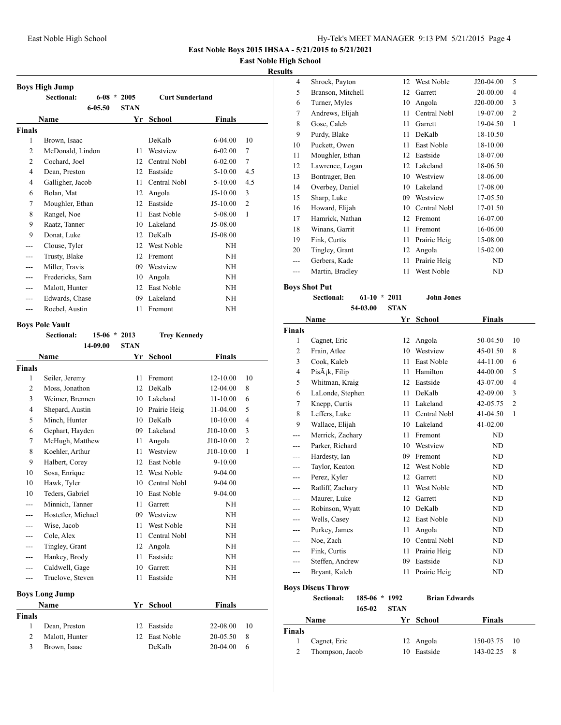## **East Noble High School**

## **Results**

|                | <b>Boys High Jump</b> |            |             |                        |             |                |
|----------------|-----------------------|------------|-------------|------------------------|-------------|----------------|
|                | Sectional:            | $6 - 08$ * | 2005        | <b>Curt Sunderland</b> |             |                |
|                |                       | 6-05.50    | <b>STAN</b> |                        |             |                |
|                | Name                  |            | Yr          | <b>School</b>          | Finals      |                |
| <b>Finals</b>  |                       |            |             |                        |             |                |
| $\mathbf{1}$   | Brown, Isaac          |            |             | DeKalb                 | $6 - 04.00$ | 10             |
| $\overline{2}$ | McDonald, Lindon      |            | 11          | Westview               | $6 - 02.00$ | 7              |
| $\overline{2}$ | Cochard, Joel         |            | 12          | Central Nobl           | $6 - 02.00$ | 7              |
| 4              | Dean, Preston         |            | 12          | Eastside               | $5 - 10.00$ | 4.5            |
| 4              | Galligher, Jacob      |            | 11          | Central Nobl           | $5-10.00$   | 4.5            |
| 6              | Bolan, Mat            |            | 12          | Angola                 | $J5-10.00$  | 3              |
| 7              | Moughler, Ethan       |            | 12          | Eastside               | $J5-10.00$  | $\overline{2}$ |
| 8              | Rangel, Noe           |            | 11          | East Noble             | 5-08.00     | $\mathbf{1}$   |
| 9              | Raatz, Tanner         |            | 10          | Lakeland               | J5-08.00    |                |
| 9              | Donat, Luke           |            | 12          | DeKalb                 | J5-08.00    |                |
| ---            | Clouse, Tyler         |            | 12          | West Noble             | NH          |                |
|                | Trusty, Blake         |            | 12          | Fremont                | NH          |                |
| ---            | Miller, Travis        |            | 09          | Westview               | NH          |                |
| ---            | Fredericks, Sam       |            | 10          | Angola                 | NH          |                |
|                | Malott, Hunter        |            | 12          | East Noble             | NH          |                |
|                | Edwards, Chase        |            | 09          | Lakeland               | NH          |                |
| ---            | Roebel, Austin        |            | 11          | Fremont                | NH          |                |

## **Boys Pole Vault**

|                | Sectional:            |          | $15-06 * 2013$ | <b>Trey Kennedy</b> |               |                |
|----------------|-----------------------|----------|----------------|---------------------|---------------|----------------|
|                |                       | 14-09.00 | <b>STAN</b>    |                     |               |                |
|                | Name                  |          | Yr             | <b>School</b>       | <b>Finals</b> |                |
| <b>Finals</b>  |                       |          |                |                     |               |                |
| 1              | Seiler, Jeremy        |          | 11             | Fremont             | 12-10.00      | 10             |
| $\overline{c}$ | Moss, Jonathon        |          | 12             | DeKalb              | 12-04.00      | 8              |
| 3              | Weimer, Brennen       |          | 10             | Lakeland            | $11 - 10.00$  | 6              |
| 4              | Shepard, Austin       |          | 10             | Prairie Heig        | 11-04.00      | 5              |
| 5              | Minch, Hunter         |          | 10             | DeKalb              | 10-10.00      | $\overline{4}$ |
| 6              | Gephart, Hayden       |          | 09             | Lakeland            | J10-10.00     | 3              |
| 7              | McHugh, Matthew       |          | 11             | Angola              | $J10-10.00$   | $\overline{2}$ |
| 8              | Koehler, Arthur       |          | 11             | Westview            | J10-10.00     | $\mathbf{1}$   |
| 9              | Halbert, Corey        |          | 12             | East Noble          | $9 - 10.00$   |                |
| 10             | Sosa, Enrique         |          | 12             | West Noble          | 9-04.00       |                |
| 10             | Hawk, Tyler           |          | 10             | Central Nobl        | 9-04.00       |                |
| 10             | Teders, Gabriel       |          | 10             | <b>East Noble</b>   | $9 - 04.00$   |                |
| ---            | Minnich, Tanner       |          | 11             | Garrett             | <b>NH</b>     |                |
| ---            | Hostetler, Michael    |          | 09             | Westview            | NH            |                |
| ---            | Wise, Jacob           |          | 11             | West Noble          | <b>NH</b>     |                |
|                | Cole, Alex            |          | 11             | Central Nobl        | <b>NH</b>     |                |
|                | Tingley, Grant        |          | 12             | Angola              | <b>NH</b>     |                |
| ---            | Hankey, Brody         |          | 11             | Eastside            | NH            |                |
| ---            | Caldwell, Gage        |          | 10             | Garrett             | NH            |                |
| ---            | Truelove, Steven      |          | 11             | Eastside            | <b>NH</b>     |                |
|                | <b>Boys Long Jump</b> |          |                |                     |               |                |
|                | Name                  |          | Yr             | <b>School</b>       | <b>Finals</b> |                |
| <b>Finals</b>  |                       |          |                |                     |               |                |
| 1              | Dean, Preston         |          | 12             | Eastside            | 22-08.00      | 10             |
| 2              | Malott, Hunter        |          | 12             | East Noble          | 20-05.50      | 8              |
| 3              | Brown, Isaac          |          |                | DeKalb              | 20-04.00      | 6              |
|                |                       |          |                |                     |               |                |

| ıs  |                   |    |              |           |                |
|-----|-------------------|----|--------------|-----------|----------------|
| 4   | Shrock, Payton    | 12 | West Noble   | J20-04.00 | 5              |
| 5   | Branson, Mitchell | 12 | Garrett      | 20-00.00  | 4              |
| 6   | Turner, Myles     | 10 | Angola       | J20-00.00 | 3              |
| 7   | Andrews, Elijah   | 11 | Central Nobl | 19-07.00  | $\overline{2}$ |
| 8   | Gose, Caleb       | 11 | Garrett      | 19-04.50  | 1              |
| 9   | Purdy, Blake      | 11 | DeKalb       | 18-10.50  |                |
| 10  | Puckett, Owen     | 11 | East Noble   | 18-10.00  |                |
| 11  | Moughler, Ethan   | 12 | Eastside     | 18-07.00  |                |
| 12  | Lawrence, Logan   | 12 | Lakeland     | 18-06.50  |                |
| 13  | Bontrager, Ben    | 10 | Westview     | 18-06.00  |                |
| 14  | Overbey, Daniel   | 10 | Lakeland     | 17-08.00  |                |
| 15  | Sharp, Luke       | 09 | Westview     | 17-05.50  |                |
| 16  | Howard, Elijah    | 10 | Central Nobl | 17-01.50  |                |
| 17  | Hamrick, Nathan   | 12 | Fremont      | 16-07.00  |                |
| 18  | Winans, Garrit    | 11 | Fremont      | 16-06.00  |                |
| 19  | Fink, Curtis      | 11 | Prairie Heig | 15-08.00  |                |
| 20  | Tingley, Grant    | 12 | Angola       | 15-02.00  |                |
| --- | Gerbers, Kade     | 11 | Prairie Heig | ND        |                |
| --- | Martin, Bradley   | 11 | West Noble   | ND        |                |
|     |                   |    |              |           |                |

**Boys Shot Put**

```
Sectional: 61-10 * 2011 John Jones
54-03.00 STAN
```

|                | Name                       | Yr | <b>School</b> | Finals   |                |
|----------------|----------------------------|----|---------------|----------|----------------|
| <b>Finals</b>  |                            |    |               |          |                |
| 1              | Cagnet, Eric               | 12 | Angola        | 50-04.50 | 10             |
| $\overline{c}$ | Frain, Atlee               | 10 | Westview      | 45-01.50 | 8              |
| 3              | Cook, Kaleb                | 11 | East Noble    | 44-11.00 | 6              |
| 4              | PisÂ <sub>i</sub> k, Filip | 11 | Hamilton      | 44-00.00 | 5              |
| 5              | Whitman, Kraig             | 12 | Eastside      | 43-07.00 | $\overline{4}$ |
| 6              | LaLonde, Stephen           | 11 | DeKalb        | 42-09.00 | 3              |
| 7              | Knepp, Curtis              | 11 | Lakeland      | 42-05.75 | 2              |
| 8              | Leffers, Luke              | 11 | Central Nobl  | 41-04.50 | 1              |
| 9              | Wallace, Elijah            | 10 | Lakeland      | 41-02.00 |                |
|                | Merrick, Zachary           | 11 | Fremont       | ND       |                |
| ---            | Parker, Richard            | 10 | Westview      | ND       |                |
|                | Hardesty, Ian              | 09 | Fremont       | ND       |                |
| ---            | Taylor, Keaton             | 12 | West Noble    | ND       |                |
| ---            | Perez, Kyler               | 12 | Garrett       | ND       |                |
| ---            | Ratliff, Zachary           | 11 | West Noble    | ND       |                |
| ---            | Maurer, Luke               | 12 | Garrett       | ND       |                |
|                | Robinson, Wyatt            | 10 | DeKalb        | ND       |                |
|                | Wells, Casey               | 12 | East Noble    | ND       |                |
|                | Purkey, James              | 11 | Angola        | ND       |                |
| ---            | Noe, Zach                  | 10 | Central Nobl  | ND       |                |
| ---            | Fink, Curtis               | 11 | Prairie Heig  | ND       |                |
| ---            | Steffen, Andrew            | 09 | Eastside      | ND       |                |
| ---            | Bryant, Kaleb              | 11 | Prairie Heig  | ND       |                |
|                | Dove Disons Throw          |    |               |          |                |

**Boys Discus Throw**

**Sectional: 185-06 \* 1992 Brian Edwards 165-02 STAN**

|        | $ - $           | .  |           |                 |  |
|--------|-----------------|----|-----------|-----------------|--|
|        | Name            |    | Yr School | Finals          |  |
| Finals |                 |    |           |                 |  |
| 1      | Cagnet, Eric    |    | 12 Angola | $150-03.75$ 10  |  |
|        | Thompson, Jacob | 10 | Eastside  | $143 - 02.25$ 8 |  |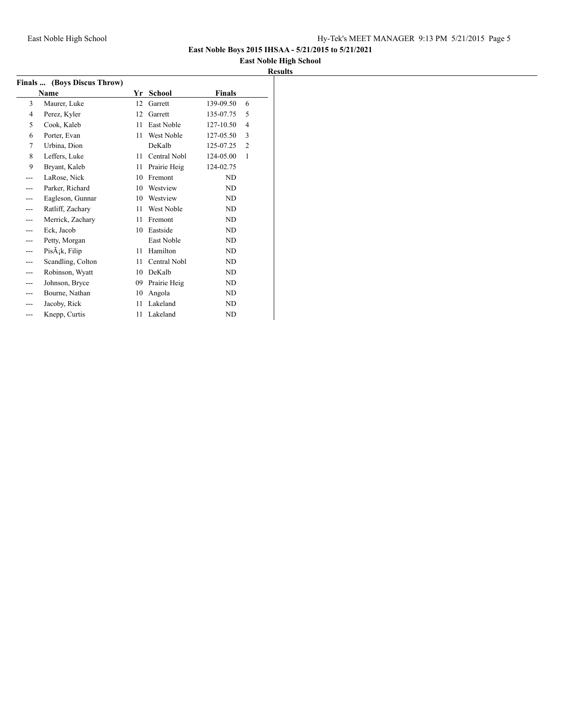## **East Noble High School Results**

|      | Finals  (Boys Discus Throw)          |    |              |               |                |
|------|--------------------------------------|----|--------------|---------------|----------------|
| Name |                                      | Yr | School       | <b>Finals</b> |                |
| 3    | Maurer, Luke                         | 12 | Garrett      | 139-09.50     | 6              |
| 4    | Perez, Kyler                         | 12 | Garrett      | 135-07.75     | 5              |
| 5    | Cook, Kaleb                          | 11 | East Noble   | 127-10.50     | $\overline{4}$ |
| 6    | Porter, Evan                         | 11 | West Noble   | 127-05.50     | 3              |
| 7    | Urbina, Dion                         |    | DeKalb       | 125-07.25     | $\overline{2}$ |
| 8    | Leffers, Luke                        | 11 | Central Nobl | 124-05.00     | 1              |
| 9    | Bryant, Kaleb                        | 11 | Prairie Heig | 124-02.75     |                |
| ---  | LaRose, Nick                         | 10 | Fremont      | ND            |                |
|      | Parker, Richard                      | 10 | Westview     | ND            |                |
|      | Eagleson, Gunnar                     | 10 | Westview     | ND            |                |
|      | Ratliff, Zachary                     | 11 | West Noble   | ND            |                |
| ---  | Merrick, Zachary                     | 11 | Fremont      | ND            |                |
|      | Eck, Jacob                           | 10 | Eastside     | ND            |                |
|      | Petty, Morgan                        |    | East Noble   | ND            |                |
|      | $Pis\tilde{A}$ <sub>i</sub> k, Filip | 11 | Hamilton     | ND            |                |
|      | Scandling, Colton                    | 11 | Central Nobl | ND            |                |
|      | Robinson, Wyatt                      | 10 | DeKalb       | ND            |                |
|      | Johnson, Bryce                       | 09 | Prairie Heig | ND            |                |
|      | Bourne, Nathan                       | 10 | Angola       | ND            |                |
|      | Jacoby, Rick                         | 11 | Lakeland     | ND            |                |
| ---  | Knepp, Curtis                        | 11 | Lakeland     | <b>ND</b>     |                |